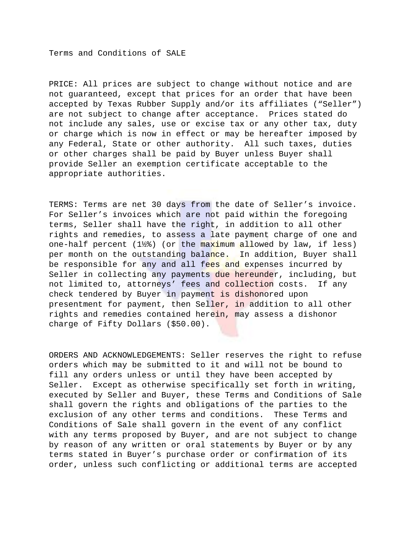Terms and Conditions of SALE

PRICE: All prices are subject to change without notice and are not guaranteed, except that prices for an order that have been accepted by Texas Rubber Supply and/or its affiliates ("Seller") are not subject to change after acceptance. Prices stated do not include any sales, use or excise tax or any other tax, duty or charge which is now in effect or may be hereafter imposed by any Federal, State or other authority. All such taxes, duties or other charges shall be paid by Buyer unless Buyer shall provide Seller an exemption certificate acceptable to the appropriate authorities.

TERMS: Terms are net 30 days from the date of Seller's invoice. For Seller's invoices which are not paid within the foregoing terms, Seller shall have the right, in addition to all other rights and remedies, to assess a late payment charge of one and one-half percent  $(1\frac{1}{2})$  (or the maximum allowed by law, if less) per month on the outstanding balance. In addition, Buyer shall be responsible for any and all fees and expenses incurred by Seller in collecting any payments due hereunder, including, but not limited to, attorneys' fees and collection costs. If any check tendered by Buyer in payment is dishonored upon presentment for payment, then Seller, in addition to all other rights and remedies contained herein, may assess a dishonor charge of Fifty Dollars (\$50.00).

ORDERS AND ACKNOWLEDGEMENTS: Seller reserves the right to refuse orders which may be submitted to it and will not be bound to fill any orders unless or until they have been accepted by Seller. Except as otherwise specifically set forth in writing, executed by Seller and Buyer, these Terms and Conditions of Sale shall govern the rights and obligations of the parties to the exclusion of any other terms and conditions. These Terms and Conditions of Sale shall govern in the event of any conflict with any terms proposed by Buyer, and are not subject to change by reason of any written or oral statements by Buyer or by any terms stated in Buyer's purchase order or confirmation of its order, unless such conflicting or additional terms are accepted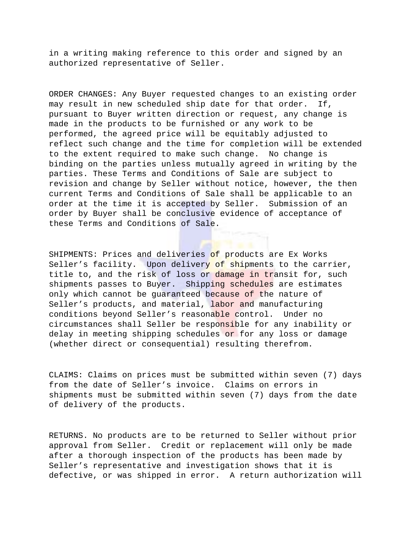in a writing making reference to this order and signed by an authorized representative of Seller.

ORDER CHANGES: Any Buyer requested changes to an existing order may result in new scheduled ship date for that order. If, pursuant to Buyer written direction or request, any change is made in the products to be furnished or any work to be performed, the agreed price will be equitably adjusted to reflect such change and the time for completion will be extended to the extent required to make such change. No change is binding on the parties unless mutually agreed in writing by the parties. These Terms and Conditions of Sale are subject to revision and change by Seller without notice, however, the then current Terms and Conditions of Sale shall be applicable to an order at the time it is accepted by Seller. Submission of an order by Buyer shall be conclusive evidence of acceptance of these Terms and Conditions of Sale.

SHIPMENTS: Prices and deliveries of products are Ex Works Seller's facility. Upon delivery of shipments to the carrier, title to, and the risk of loss or damage in transit for, such shipments passes to Buyer. Shipping schedules are estimates only which cannot be guaranteed because of the nature of Seller's products, and material, labor and manufacturing conditions beyond Seller's reasonable control. Under no circumstances shall Seller be responsible for any inability or delay in meeting shipping schedules or for any loss or damage (whether direct or consequential) resulting therefrom.

CLAIMS: Claims on prices must be submitted within seven (7) days from the date of Seller's invoice. Claims on errors in shipments must be submitted within seven (7) days from the date of delivery of the products.

RETURNS. No products are to be returned to Seller without prior approval from Seller. Credit or replacement will only be made after a thorough inspection of the products has been made by Seller's representative and investigation shows that it is defective, or was shipped in error. A return authorization will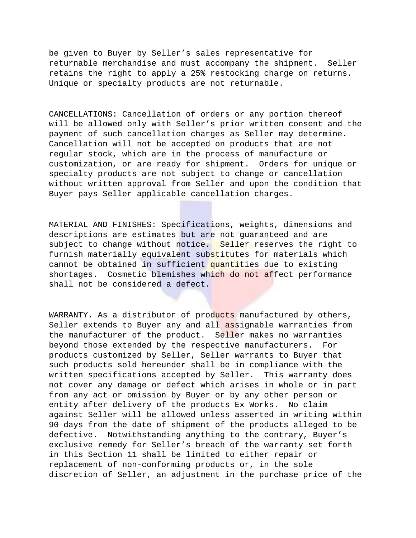be given to Buyer by Seller's sales representative for returnable merchandise and must accompany the shipment. Seller retains the right to apply a 25% restocking charge on returns. Unique or specialty products are not returnable.

CANCELLATIONS: Cancellation of orders or any portion thereof will be allowed only with Seller's prior written consent and the payment of such cancellation charges as Seller may determine. Cancellation will not be accepted on products that are not regular stock, which are in the process of manufacture or customization, or are ready for shipment. Orders for unique or specialty products are not subject to change or cancellation without written approval from Seller and upon the condition that Buyer pays Seller applicable cancellation charges.

MATERIAL AND FINISHES: Specifications, weights, dimensions and descriptions are estimates but are not guaranteed and are subject to change without notice. Seller reserves the right to furnish materially equivalent substitutes for materials which cannot be obtained in sufficient quantities due to existing shortages. Cosmetic blemishes which do not affect performance shall not be considered a defect.

WARRANTY. As a distributor of products manufactured by others, Seller extends to Buyer any and all assignable warranties from the manufacturer of the product. Seller makes no warranties beyond those extended by the respective manufacturers. For products customized by Seller, Seller warrants to Buyer that such products sold hereunder shall be in compliance with the written specifications accepted by Seller. This warranty does not cover any damage or defect which arises in whole or in part from any act or omission by Buyer or by any other person or entity after delivery of the products Ex Works. No claim against Seller will be allowed unless asserted in writing within 90 days from the date of shipment of the products alleged to be defective. Notwithstanding anything to the contrary, Buyer's exclusive remedy for Seller's breach of the warranty set forth in this Section 11 shall be limited to either repair or replacement of non-conforming products or, in the sole discretion of Seller, an adjustment in the purchase price of the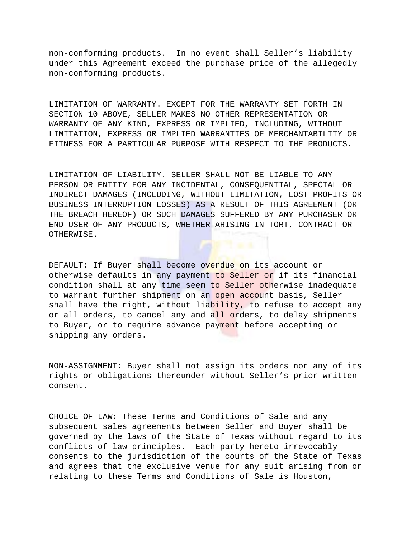non-conforming products. In no event shall Seller's liability under this Agreement exceed the purchase price of the allegedly non-conforming products.

LIMITATION OF WARRANTY. EXCEPT FOR THE WARRANTY SET FORTH IN SECTION 10 ABOVE, SELLER MAKES NO OTHER REPRESENTATION OR WARRANTY OF ANY KIND, EXPRESS OR IMPLIED, INCLUDING, WITHOUT LIMITATION, EXPRESS OR IMPLIED WARRANTIES OF MERCHANTABILITY OR FITNESS FOR A PARTICULAR PURPOSE WITH RESPECT TO THE PRODUCTS.

LIMITATION OF LIABILITY. SELLER SHALL NOT BE LIABLE TO ANY PERSON OR ENTITY FOR ANY INCIDENTAL, CONSEQUENTIAL, SPECIAL OR INDIRECT DAMAGES (INCLUDING, WITHOUT LIMITATION, LOST PROFITS OR BUSINESS INTERRUPTION LOSSES) AS A RESULT OF THIS AGREEMENT (OR THE BREACH HEREOF) OR SUCH DAMAGES SUFFERED BY ANY PURCHASER OR END USER OF ANY PRODUCTS, WHETHER ARISING IN TORT, CONTRACT OR OTHERWISE.

DEFAULT: If Buyer shall become overdue on its account or otherwise defaults in any payment to Seller or if its financial condition shall at any time seem to Seller otherwise inadequate to warrant further shipment on an open account basis, Seller shall have the right, without liability, to refuse to accept any or all orders, to cancel any and all orders, to delay shipments to Buyer, or to require advance payment before accepting or shipping any orders.

NON-ASSIGNMENT: Buyer shall not assign its orders nor any of its rights or obligations thereunder without Seller's prior written consent.

CHOICE OF LAW: These Terms and Conditions of Sale and any subsequent sales agreements between Seller and Buyer shall be governed by the laws of the State of Texas without regard to its conflicts of law principles. Each party hereto irrevocably consents to the jurisdiction of the courts of the State of Texas and agrees that the exclusive venue for any suit arising from or relating to these Terms and Conditions of Sale is Houston,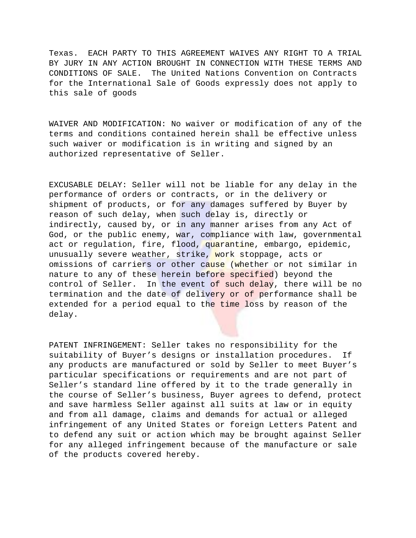Texas. EACH PARTY TO THIS AGREEMENT WAIVES ANY RIGHT TO A TRIAL BY JURY IN ANY ACTION BROUGHT IN CONNECTION WITH THESE TERMS AND CONDITIONS OF SALE. The United Nations Convention on Contracts for the International Sale of Goods expressly does not apply to this sale of goods

WAIVER AND MODIFICATION: No waiver or modification of any of the terms and conditions contained herein shall be effective unless such waiver or modification is in writing and signed by an authorized representative of Seller.

EXCUSABLE DELAY: Seller will not be liable for any delay in the performance of orders or contracts, or in the delivery or shipment of products, or for any damages suffered by Buyer by reason of such delay, when such delay is, directly or indirectly, caused by, or in any manner arises from any Act of God, or the public enemy, war, compliance with law, governmental act or regulation, fire, flood, quarantine, embargo, epidemic, unusually severe weather, strike, work stoppage, acts or omissions of carriers or other cause (whether or not similar in nature to any of these herein before specified) beyond the control of Seller. In the event of such delay, there will be no termination and the date of delivery or of performance shall be extended for a period equal to the time loss by reason of the delay.

PATENT INFRINGEMENT: Seller takes no responsibility for the suitability of Buyer's designs or installation procedures. If any products are manufactured or sold by Seller to meet Buyer's particular specifications or requirements and are not part of Seller's standard line offered by it to the trade generally in the course of Seller's business, Buyer agrees to defend, protect and save harmless Seller against all suits at law or in equity and from all damage, claims and demands for actual or alleged infringement of any United States or foreign Letters Patent and to defend any suit or action which may be brought against Seller for any alleged infringement because of the manufacture or sale of the products covered hereby.